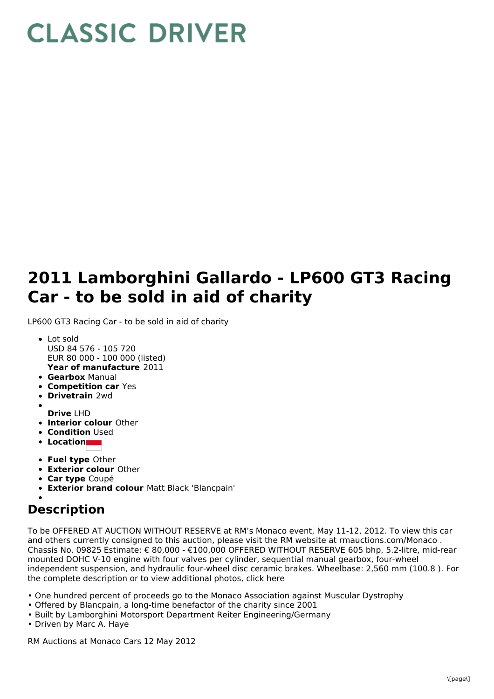## **CLASSIC DRIVER**

## **2011 Lamborghini Gallardo - LP600 GT3 Racing Car - to be sold in aid of charity**

LP600 GT3 Racing Car - to be sold in aid of charity

- **Year of manufacture** 2011 Lot sold USD 84 576 - 105 720 EUR 80 000 - 100 000 (listed)
- **Gearbox** Manual
- **Competition car** Yes
- **Drivetrain** 2wd
- **Drive** LHD
- **Interior colour** Other
- **Condition Used**
- **Location**
- **Fuel type** Other
- **Exterior colour** Other
- **Car type** Coupé
- **Exterior brand colour** Matt Black 'Blancpain'

## **Description**

To be OFFERED AT AUCTION WITHOUT RESERVE at RM's Monaco event, May 11-12, 2012. To view this car and others currently consigned to this auction, please visit the RM website at rmauctions.com/Monaco . Chassis No. 09825 Estimate: € 80,000 - €100,000 OFFERED WITHOUT RESERVE 605 bhp, 5.2-litre, mid-rear mounted DOHC V-10 engine with four valves per cylinder, sequential manual gearbox, four-wheel independent suspension, and hydraulic four-wheel disc ceramic brakes. Wheelbase: 2,560 mm (100.8 ). For the complete description or to view additional photos, click here

- One hundred percent of proceeds go to the Monaco Association against Muscular Dystrophy
- Offered by Blancpain, a long-time benefactor of the charity since 2001
- Built by Lamborghini Motorsport Department Reiter Engineering/Germany
- Driven by Marc A. Haye

RM Auctions at Monaco Cars 12 May 2012